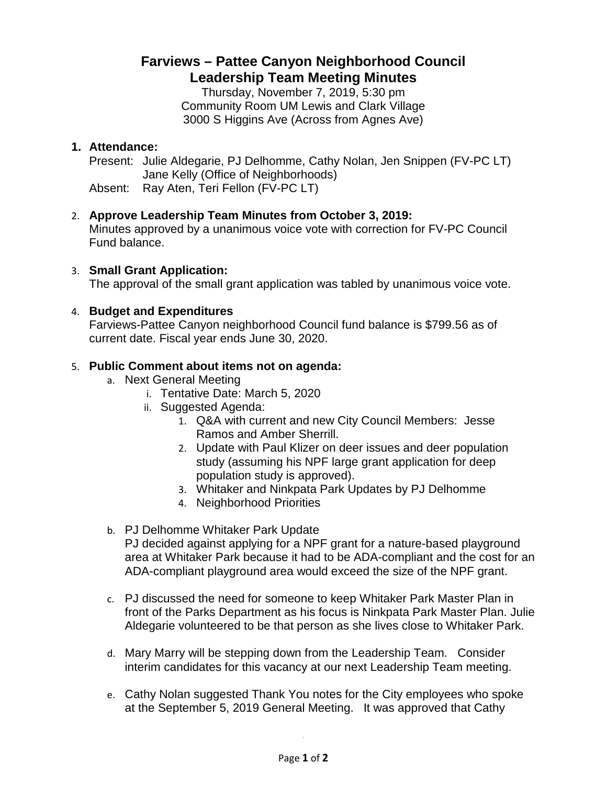# **Farviews – Pattee Canyon Neighborhood Council Leadership Team Meeting Minutes**

Thursday, November 7, 2019, 5:30 pm Community Room UM Lewis and Clark Village 3000 S Higgins Ave (Across from Agnes Ave)

## **1. Attendance:**

Present: Julie Aldegarie, PJ Delhomme, Cathy Nolan, Jen Snippen (FV-PC LT) Jane Kelly (Office of Neighborhoods)

Absent: Ray Aten, Teri Fellon (FV-PC LT)

## 2. **Approve Leadership Team Minutes from October 3, 2019:**

Minutes approved by a unanimous voice vote with correction for FV-PC Council Fund balance.

## 3. **Small Grant Application:**

The approval of the small grant application was tabled by unanimous voice vote.

#### 4. **Budget and Expenditures**

Farviews-Pattee Canyon neighborhood Council fund balance is \$799.56 as of current date. Fiscal year ends June 30, 2020.

#### 5. **Public Comment about items not on agenda:**

- a. Next General Meeting
	- i. Tentative Date: March 5, 2020
	- ii. Suggested Agenda:
		- 1. Q&A with current and new City Council Members: Jesse Ramos and Amber Sherrill.
		- 2. Update with Paul Klizer on deer issues and deer population study (assuming his NPF large grant application for deep population study is approved).
		- 3. Whitaker and Ninkpata Park Updates by PJ Delhomme
		- 4. Neighborhood Priorities
- b. PJ Delhomme Whitaker Park Update PJ decided against applying for a NPF grant for a nature-based playground area at Whitaker Park because it had to be ADA-compliant and the cost for an ADA-compliant playground area would exceed the size of the NPF grant.
- c. PJ discussed the need for someone to keep Whitaker Park Master Plan in front of the Parks Department as his focus is Ninkpata Park Master Plan. Julie Aldegarie volunteered to be that person as she lives close to Whitaker Park.
- d. Mary Marry will be stepping down from the Leadership Team. Consider interim candidates for this vacancy at our next Leadership Team meeting.
- e. Cathy Nolan suggested Thank You notes for the City employees who spoke at the September 5, 2019 General Meeting. It was approved that Cathy